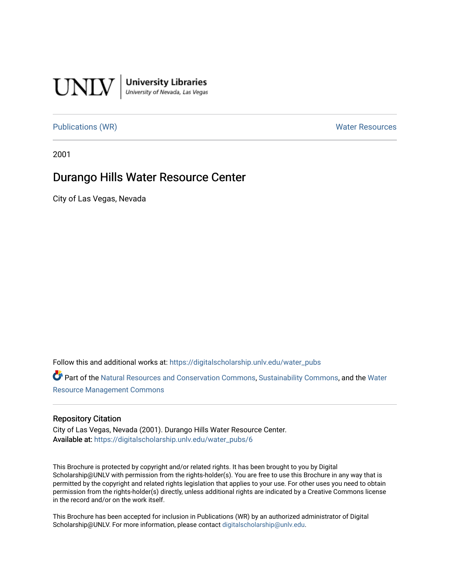

### [Publications \(WR\)](https://digitalscholarship.unlv.edu/water_pubs) Noter Resources

2001

## Durango Hills Water Resource Center

City of Las Vegas, Nevada

Follow this and additional works at: [https://digitalscholarship.unlv.edu/water\\_pubs](https://digitalscholarship.unlv.edu/water_pubs?utm_source=digitalscholarship.unlv.edu%2Fwater_pubs%2F6&utm_medium=PDF&utm_campaign=PDFCoverPages) 

Part of the [Natural Resources and Conservation Commons,](http://network.bepress.com/hgg/discipline/168?utm_source=digitalscholarship.unlv.edu%2Fwater_pubs%2F6&utm_medium=PDF&utm_campaign=PDFCoverPages) [Sustainability Commons](http://network.bepress.com/hgg/discipline/1031?utm_source=digitalscholarship.unlv.edu%2Fwater_pubs%2F6&utm_medium=PDF&utm_campaign=PDFCoverPages), and the [Water](http://network.bepress.com/hgg/discipline/1057?utm_source=digitalscholarship.unlv.edu%2Fwater_pubs%2F6&utm_medium=PDF&utm_campaign=PDFCoverPages)  [Resource Management Commons](http://network.bepress.com/hgg/discipline/1057?utm_source=digitalscholarship.unlv.edu%2Fwater_pubs%2F6&utm_medium=PDF&utm_campaign=PDFCoverPages) 

#### Repository Citation

City of Las Vegas, Nevada (2001). Durango Hills Water Resource Center. Available at: [https://digitalscholarship.unlv.edu/water\\_pubs/6](https://digitalscholarship.unlv.edu/water_pubs/6) 

This Brochure is protected by copyright and/or related rights. It has been brought to you by Digital Scholarship@UNLV with permission from the rights-holder(s). You are free to use this Brochure in any way that is permitted by the copyright and related rights legislation that applies to your use. For other uses you need to obtain permission from the rights-holder(s) directly, unless additional rights are indicated by a Creative Commons license in the record and/or on the work itself.

This Brochure has been accepted for inclusion in Publications (WR) by an authorized administrator of Digital Scholarship@UNLV. For more information, please contact [digitalscholarship@unlv.edu.](mailto:digitalscholarship@unlv.edu)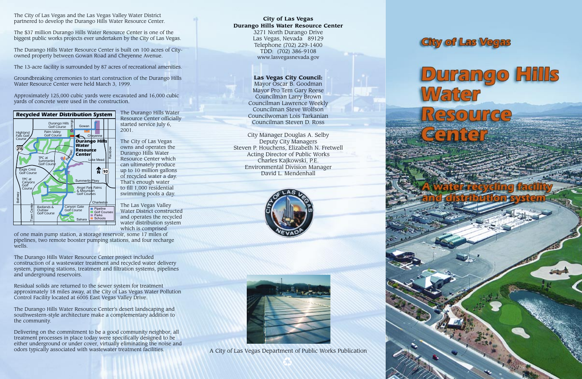### **City of Las Vegas Durango Hills Water Resource Center**

3271 North Durango Drive Las Vegas, Nevada 89129 Telephone (702) 229-1400 TDD: (702) 386-9108 www.lasvegasnevada.gov

**Las Vegas City Council:** Mayor Oscar B. Goodman

Mayor Pro Tem Gary Reese Councilman Larry Brown Councilman Lawrence Weekly Councilman Steve Wolfson Councilwoman Lois Tarkanian Councilman Steven D. Ross

City Manager Douglas A. Selby Deputy City Managers Steven P. Houchens, Elizabeth N. Fretwell Acting Director of Public Works Charles Kajkowski, P.E. Environmental Division Manager David L. Mendenhall





A City of Las Vegas Department of Public Works Publication





The City of Las Vegas and the Las Vegas Valley Water District partnered to develop the Durango Hills Water Resource Center.

The \$37 million Durango Hills Water Resource Center is one of the biggest public works projects ever undertaken by the City of Las Vegas.

The Durango Hills Water Resource Center is built on 100 acres of Cityowned property between Gowan Road and Cheyenne Avenue.

The 13-acre facility is surrounded by 87 acres of recreational amenities.

Groundbreaking ceremonies to start construction of the Durango Hills Water Resource Center were held March 3, 1999.

Approximately 125,000 cubic yards were excavated and 16,000 cubic yards of concrete were used in the construction.

> The Durango Hills Water Resource Center officially started service July 6, 2001.

The City of Las Vegas owns and operates the Durango Hills Water Resource Center which can ultimately produce up to 10 million gallons of recycled water a day. That's enough water to fill 1,000 residential swimming pools a day.

The Las Vegas Valley Water District constructed and operates the recycled water distribution system which is comprised

of one main pump station, a storage reservoir, some 17 miles of pipelines, two remote booster pumping stations, and four recharge wells.

The Durango Hills Water Resource Center project included construction of a wastewater treatment and recycled water delivery system, pumping stations, treatment and filtration systems, pipelines and underground reservoirs.

Residual solids are returned to the sewer system for treatment approximately 18 miles away, at the City of Las Vegas Water Pollution Control Facility located at 6005 East Vegas Valley Drive.

The Durango Hills Water Resource Center's desert landscaping and southwestern-style architecture make a complementary addition to the community.

Delivering on the commitment to be a good community neighbor, all treatment processes in place today were specifically designed to be either underground or under cover, virtually eliminating the noise and odors typically associated with wastewater treatment facilities.